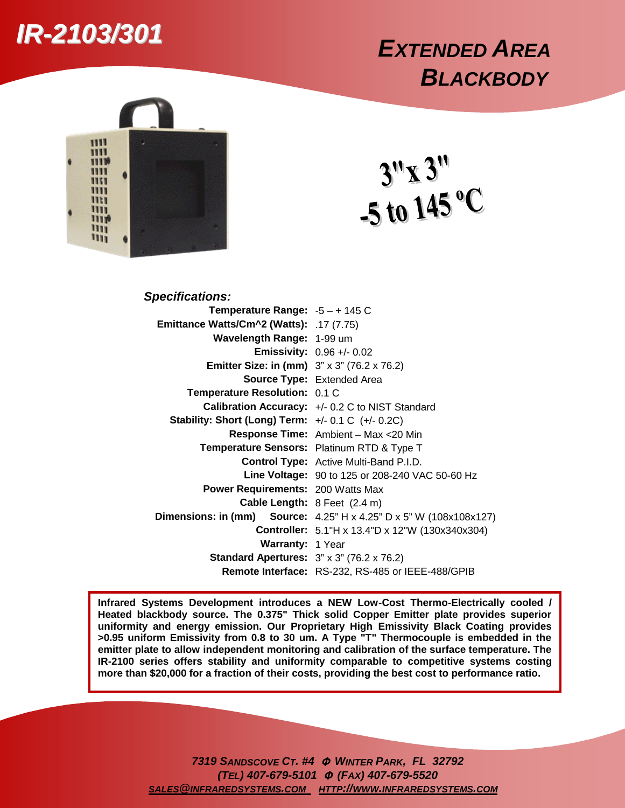## *IR-2103/301*

## *EXTENDED AREA BLACKBODY*



 $3''x3''$ <br>-5 to 145 °C

| <b>Specifications:</b>                                 |                                                                           |
|--------------------------------------------------------|---------------------------------------------------------------------------|
| Temperature Range: $-5 - + 145$ C                      |                                                                           |
| <b>Emittance Watts/Cm^2 (Watts):</b> .17 (7.75)        |                                                                           |
| Wavelength Range: 1-99 um                              |                                                                           |
|                                                        | <b>Emissivity:</b> $0.96 +/- 0.02$                                        |
| <b>Emitter Size: in (mm)</b> 3" x 3" (76.2 x 76.2)     |                                                                           |
|                                                        | <b>Source Type: Extended Area</b>                                         |
| Temperature Resolution: 0.1 C                          |                                                                           |
|                                                        | Calibration Accuracy: +/- 0.2 C to NIST Standard                          |
| Stability: Short (Long) Term: $+/- 0.1$ C $(+/- 0.2C)$ |                                                                           |
|                                                        | Response Time: Ambient - Max <20 Min                                      |
|                                                        | Temperature Sensors: Platinum RTD & Type T                                |
|                                                        | <b>Control Type:</b> Active Multi-Band P.I.D.                             |
|                                                        | <b>Line Voltage:</b> 90 to 125 or 208-240 VAC 50-60 Hz                    |
| <b>Power Requirements: 200 Watts Max</b>               |                                                                           |
|                                                        | Cable Length: 8 Feet (2.4 m)                                              |
|                                                        | <b>Dimensions: in (mm) Source:</b> 4.25" H x 4.25" D x 5" W (108x108x127) |
|                                                        | <b>Controller:</b> 5.1"H x 13.4"D x 12"W (130x340x304)                    |
| <b>Warranty: 1 Year</b>                                |                                                                           |
| <b>Standard Apertures:</b> 3" x 3" (76.2 x 76.2)       |                                                                           |
|                                                        | Remote Interface: RS-232, RS-485 or IEEE-488/GPIB                         |

**Infrared Systems Development introduces a NEW Low-Cost Thermo-Electrically cooled / Heated blackbody source. The 0.375" Thick solid Copper Emitter plate provides superior uniformity and energy emission. Our Proprietary High Emissivity Black Coating provides >0.95 uniform Emissivity from 0.8 to 30 um. A Type "T" Thermocouple is embedded in the emitter plate to allow independent monitoring and calibration of the surface temperature. The IR-2100 series offers stability and uniformity comparable to competitive systems costing more than \$20,000 for a fraction of their costs, providing the best cost to performance ratio.**

> *7319 SANDSCOVE CT. #4* <sup>Φ</sup> *WINTER PARK, FL 32792 (TEL) 407-679-5101* <sup>Φ</sup> *(FAX) 407-679-5520 SALES@INFRAREDSYSTEMS.COM HTTP://WWW.INFRAREDSYSTEMS.COM*